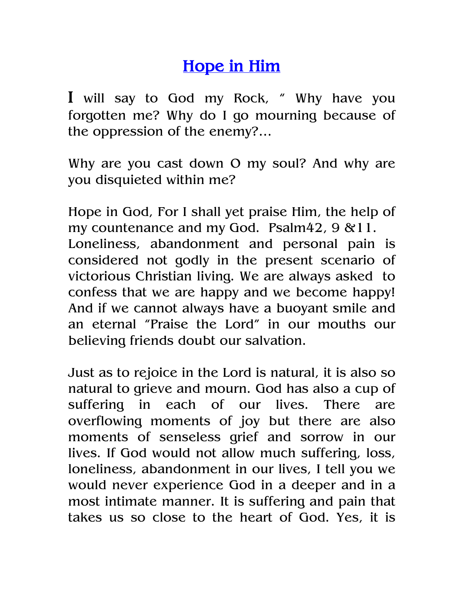## Hope in Him

I will say to God my Rock, " Why have you forgotten me? Why do I go mourning because of the oppression of the enemy?…

Why are you cast down O my soul? And why are you disquieted within me?

Hope in God, For I shall yet praise Him, the help of my countenance and my God. Psalm42, 9 &11. Loneliness, abandonment and personal pain is considered not godly in the present scenario of victorious Christian living. We are always asked to confess that we are happy and we become happy! And if we cannot always have a buoyant smile and an eternal "Praise the Lord" in our mouths our believing friends doubt our salvation.

Just as to rejoice in the Lord is natural, it is also so natural to grieve and mourn. God has also a cup of suffering in each of our lives. There are overflowing moments of joy but there are also moments of senseless grief and sorrow in our lives. If God would not allow much suffering, loss, loneliness, abandonment in our lives, I tell you we would never experience God in a deeper and in a most intimate manner. It is suffering and pain that takes us so close to the heart of God. Yes, it is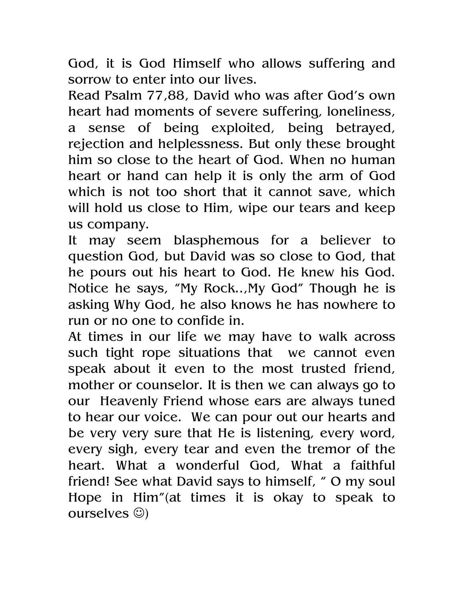God, it is God Himself who allows suffering and sorrow to enter into our lives.

Read Psalm 77,88, David who was after God's own heart had moments of severe suffering, loneliness, a sense of being exploited, being betrayed, rejection and helplessness. But only these brought him so close to the heart of God. When no human heart or hand can help it is only the arm of God which is not too short that it cannot save, which will hold us close to Him, wipe our tears and keep us company.

It may seem blasphemous for a believer to question God, but David was so close to God, that he pours out his heart to God. He knew his God. Notice he says, "My Rock..,My God" Though he is asking Why God, he also knows he has nowhere to run or no one to confide in.

At times in our life we may have to walk across such tight rope situations that we cannot even speak about it even to the most trusted friend, mother or counselor. It is then we can always go to our Heavenly Friend whose ears are always tuned to hear our voice. We can pour out our hearts and be very very sure that He is listening, every word, every sigh, every tear and even the tremor of the heart. What a wonderful God, What a faithful friend! See what David says to himself, " O my soul Hope in Him"(at times it is okay to speak to ourselves ☺)